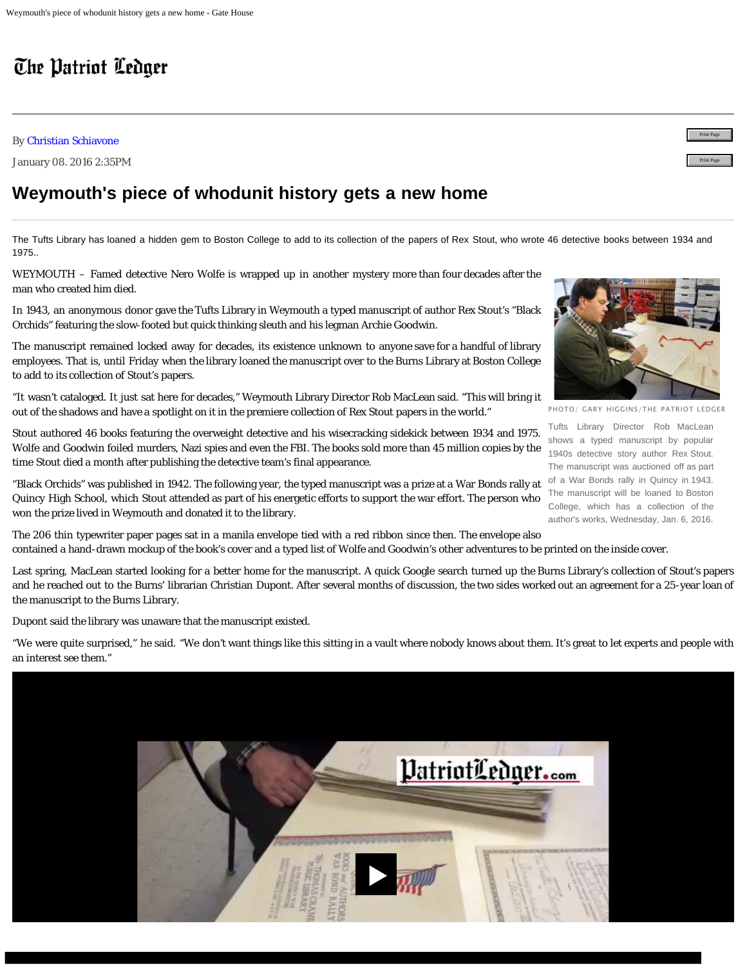## The Patriot Ledger

## By [Christian Schiavone](mailto:cschiavone@ledger.com)

January 08. 2016 2:35PM

## **Weymouth's piece of whodunit history gets a new home**

The Tufts Library has loaned a hidden gem to Boston College to add to its collection of the papers of Rex Stout, who wrote 46 detective books between 1934 and 1975..

WEYMOUTH – Famed detective Nero Wolfe is wrapped up in another mystery more than four decades after the man who created him died.

In 1943, an anonymous donor gave the Tufts Library in Weymouth a typed manuscript of author Rex Stout's "Black Orchids" featuring the slow-footed but quick thinking sleuth and his legman Archie Goodwin.

The manuscript remained locked away for decades, its existence unknown to anyone save for a handful of library employees. That is, until Friday when the library loaned the manuscript over to the Burns Library at Boston College to add to its collection of Stout's papers.

"It wasn't cataloged. It just sat here for decades," Weymouth Library Director Rob MacLean said. "This will bring it out of the shadows and have a spotlight on it in the premiere collection of Rex Stout papers in the world."

Stout authored 46 books featuring the overweight detective and his wisecracking sidekick between 1934 and 1975. Wolfe and Goodwin foiled murders, Nazi spies and even the FBI. The books sold more than 45 million copies by the time Stout died a month after publishing the detective team's final appearance.

"Black Orchids" was published in 1942. The following year, the typed manuscript was a prize at a War Bonds rally at Quincy High School, which Stout attended as part of his energetic efforts to support the war effort. The person who won the prize lived in Weymouth and donated it to the library.

The 206 thin typewriter paper pages sat in a manila envelope tied with a red ribbon since then. The envelope also contained a hand-drawn mockup of the book's cover and a typed list of Wolfe and Goodwin's other adventures to be printed on the inside cover.

Last spring, MacLean started looking for a better home for the manuscript. A quick Google search turned up the Burns Library's collection of Stout's papers and he reached out to the Burns' librarian Christian Dupont. After several months of discussion, the two sides worked out an agreement for a 25-year loan of the manuscript to the Burns Library.

Dupont said the library was unaware that the manuscript existed.

"We were quite surprised," he said. "We don't want things like this sitting in a vault where nobody knows about them. It's great to let experts and people with an interest see them."



Tufts Library Director Rob MacLean shows a typed manuscript by popular

1940s detective story author Rex Stout. The manuscript was auctioned off as part of a War Bonds rally in Quincy in 1943. The manuscript will be loaned to Boston College, which has a collection of the author's works, Wednesday, Jan. 6, 2016.